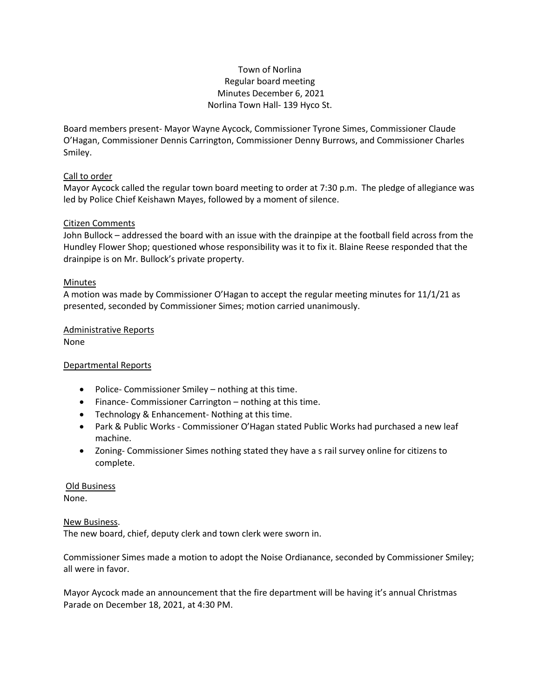# Town of Norlina Regular board meeting Minutes December 6, 2021 Norlina Town Hall- 139 Hyco St.

Board members present- Mayor Wayne Aycock, Commissioner Tyrone Simes, Commissioner Claude O'Hagan, Commissioner Dennis Carrington, Commissioner Denny Burrows, and Commissioner Charles Smiley.

## Call to order

Mayor Aycock called the regular town board meeting to order at 7:30 p.m. The pledge of allegiance was led by Police Chief Keishawn Mayes, followed by a moment of silence.

## Citizen Comments

John Bullock – addressed the board with an issue with the drainpipe at the football field across from the Hundley Flower Shop; questioned whose responsibility was it to fix it. Blaine Reese responded that the drainpipe is on Mr. Bullock's private property.

# Minutes

A motion was made by Commissioner O'Hagan to accept the regular meeting minutes for 11/1/21 as presented, seconded by Commissioner Simes; motion carried unanimously.

### Administrative Reports None

Departmental Reports

- Police- Commissioner Smiley nothing at this time.
- Finance- Commissioner Carrington nothing at this time.
- Technology & Enhancement- Nothing at this time.
- Park & Public Works Commissioner O'Hagan stated Public Works had purchased a new leaf machine.
- Zoning- Commissioner Simes nothing stated they have a s rail survey online for citizens to complete.

#### Old Business None.

## New Business.

The new board, chief, deputy clerk and town clerk were sworn in.

Commissioner Simes made a motion to adopt the Noise Ordianance, seconded by Commissioner Smiley; all were in favor.

Mayor Aycock made an announcement that the fire department will be having it's annual Christmas Parade on December 18, 2021, at 4:30 PM.